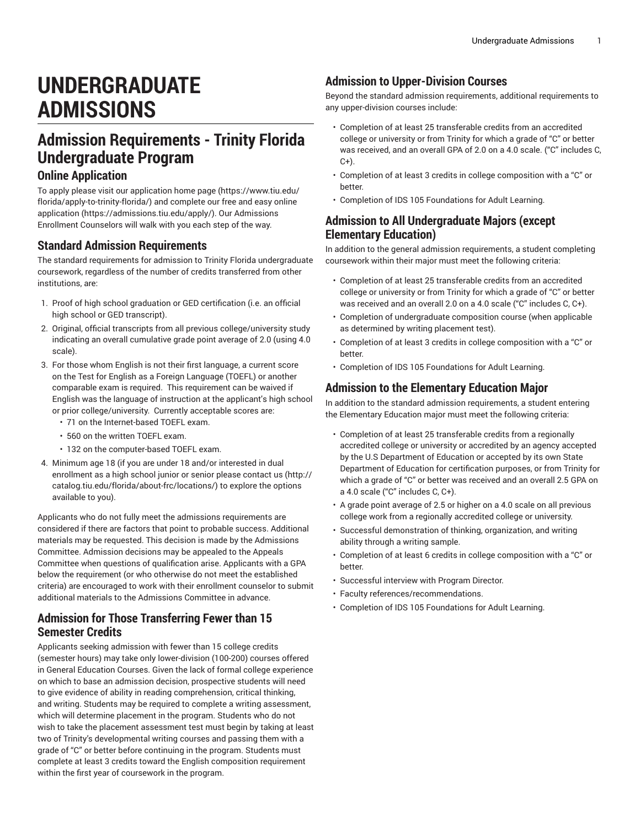# **UNDERGRADUATE ADMISSIONS**

## **Admission Requirements - Trinity Florida Undergraduate Program**

## **Online Application**

To apply please visit our [application home page \(https://www.tiu.edu/](https://www.tiu.edu/florida/apply-to-trinity-florida/) [florida/apply-to-trinity-florida/\)](https://www.tiu.edu/florida/apply-to-trinity-florida/) and complete our free and easy [online](https://admissions.tiu.edu/apply/) [application](https://admissions.tiu.edu/apply/) ([https://admissions.tiu.edu/apply/\)](https://admissions.tiu.edu/apply/). Our Admissions Enrollment Counselors will walk with you each step of the way.

#### **Standard Admission Requirements**

The standard requirements for admission to Trinity Florida undergraduate coursework, regardless of the number of credits transferred from other institutions, are:

- 1. Proof of high school graduation or GED certification (i.e. an official high school or GED transcript).
- 2. Original, official transcripts from all previous college/university study indicating an overall cumulative grade point average of 2.0 (using 4.0 scale).
- 3. For those whom English is not their first language, a current score on the Test for English as a Foreign Language (TOEFL) or another comparable exam is required. This requirement can be waived if English was the language of instruction at the applicant's high school or prior college/university. Currently acceptable scores are:
	- 71 on the Internet-based TOEFL exam.
	- 560 on the written TOEFL exam.
	- 132 on the computer-based TOEFL exam.
- 4. Minimum age 18 (if you are under 18 and/or interested in dual enrollment as a high school junior or senior please [contact us \(http://](http://catalog.tiu.edu/florida/about-frc/locations/) [catalog.tiu.edu/florida/about-frc/locations/\)](http://catalog.tiu.edu/florida/about-frc/locations/) to explore the options available to you).

Applicants who do not fully meet the admissions requirements are considered if there are factors that point to probable success. Additional materials may be requested. This decision is made by the Admissions Committee. Admission decisions may be appealed to the Appeals Committee when questions of qualification arise. Applicants with a GPA below the requirement (or who otherwise do not meet the established criteria) are encouraged to work with their enrollment counselor to submit additional materials to the Admissions Committee in advance.

#### **Admission for Those Transferring Fewer than 15 Semester Credits**

Applicants seeking admission with fewer than 15 college credits (semester hours) may take only lower-division (100-200) courses offered in General Education Courses. Given the lack of formal college experience on which to base an admission decision, prospective students will need to give evidence of ability in reading comprehension, critical thinking, and writing. Students may be required to complete a writing assessment, which will determine placement in the program. Students who do not wish to take the placement assessment test must begin by taking at least two of Trinity's developmental writing courses and passing them with a grade of "C" or better before continuing in the program. Students must complete at least 3 credits toward the English composition requirement within the first year of coursework in the program.

#### **Admission to Upper-Division Courses**

Beyond the standard admission requirements, additional requirements to any upper-division courses include:

- Completion of at least 25 transferable credits from an accredited college or university or from Trinity for which a grade of "C" or better was received, and an overall GPA of 2.0 on a 4.0 scale. ("C" includes C,  $C+$ ).
- Completion of at least 3 credits in college composition with a "C" or better.
- Completion of IDS 105 Foundations for Adult Learning.

#### **Admission to All Undergraduate Majors (except Elementary Education)**

In addition to the general admission requirements, a student completing coursework within their major must meet the following criteria:

- Completion of at least 25 transferable credits from an accredited college or university or from Trinity for which a grade of "C" or better was received and an overall 2.0 on a 4.0 scale ("C" includes C, C+).
- Completion of undergraduate composition course (when applicable as determined by writing placement test).
- Completion of at least 3 credits in college composition with a "C" or better.
- Completion of [IDS 105](/search/?P=IDS%20105) Foundations for Adult Learning.

## **Admission to the Elementary Education Major**

In addition to the standard admission requirements, a student entering the Elementary Education major must meet the following criteria:

- Completion of at least 25 transferable credits from a regionally accredited college or university or accredited by an agency accepted by the U.S Department of Education or accepted by its own State Department of Education for certification purposes, or from Trinity for which a grade of "C" or better was received and an overall 2.5 GPA on a 4.0 scale ("C" includes C, C+).
- A grade point average of 2.5 or higher on a 4.0 scale on all previous college work from a regionally accredited college or university.
- Successful demonstration of thinking, organization, and writing ability through a writing sample.
- Completion of at least 6 credits in college composition with a "C" or better.
- Successful interview with Program Director.
- Faculty references/recommendations.
- Completion of [IDS 105](/search/?P=IDS%20105) Foundations for Adult Learning.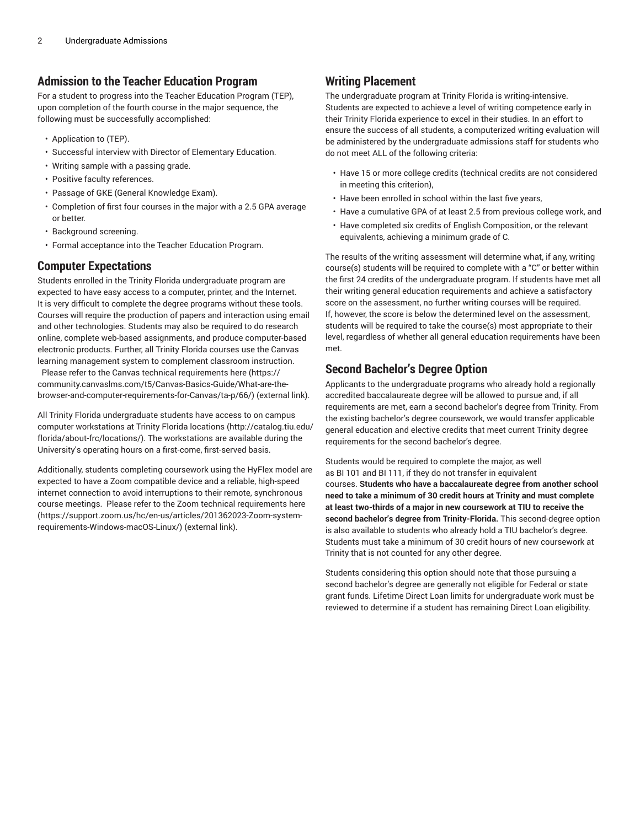### **Admission to the Teacher Education Program**

For a student to progress into the Teacher Education Program (TEP), upon completion of the fourth course in the major sequence, the following must be successfully accomplished:

- Application to (TEP).
- Successful interview with Director of Elementary Education.
- Writing sample with a passing grade.
- Positive faculty references.
- Passage of GKE (General Knowledge Exam).
- Completion of first four courses in the major with a 2.5 GPA average or better.
- Background screening.
- Formal acceptance into the Teacher Education Program.

## **Computer Expectations**

Students enrolled in the Trinity Florida undergraduate program are expected to have easy access to a computer, printer, and the Internet. It is very difficult to complete the degree programs without these tools. Courses will require the production of papers and interaction using email and other technologies. Students may also be required to do research online, complete web-based assignments, and produce computer-based electronic products. Further, all Trinity Florida courses use the Canvas learning management system to complement classroom instruction.

Please refer to the Canvas technical requirements [here](https://community.canvaslms.com/t5/Canvas-Basics-Guide/What-are-the-browser-and-computer-requirements-for-Canvas/ta-p/66/) ([https://](https://community.canvaslms.com/t5/Canvas-Basics-Guide/What-are-the-browser-and-computer-requirements-for-Canvas/ta-p/66/) [community.canvaslms.com/t5/Canvas-Basics-Guide/What-are-the](https://community.canvaslms.com/t5/Canvas-Basics-Guide/What-are-the-browser-and-computer-requirements-for-Canvas/ta-p/66/)[browser-and-computer-requirements-for-Canvas/ta-p/66/\)](https://community.canvaslms.com/t5/Canvas-Basics-Guide/What-are-the-browser-and-computer-requirements-for-Canvas/ta-p/66/) (external link).

All Trinity Florida undergraduate students have access to on campus computer workstations at Trinity Florida [locations](http://catalog.tiu.edu/florida/about-frc/locations/) ([http://catalog.tiu.edu/](http://catalog.tiu.edu/florida/about-frc/locations/) [florida/about-frc/locations/\)](http://catalog.tiu.edu/florida/about-frc/locations/). The workstations are available during the University's operating hours on a first-come, first-served basis.

Additionally, students completing coursework using the HyFlex model are expected to have a Zoom compatible device and a reliable, high-speed internet connection to avoid interruptions to their remote, synchronous course meetings. Please refer to the Zoom technical requirements [here](https://support.zoom.us/hc/en-us/articles/201362023-Zoom-system-requirements-Windows-macOS-Linux/) ([https://support.zoom.us/hc/en-us/articles/201362023-Zoom-system](https://support.zoom.us/hc/en-us/articles/201362023-Zoom-system-requirements-Windows-macOS-Linux/)[requirements-Windows-macOS-Linux/\)](https://support.zoom.us/hc/en-us/articles/201362023-Zoom-system-requirements-Windows-macOS-Linux/) (external link).

## **Writing Placement**

The undergraduate program at Trinity Florida is writing-intensive. Students are expected to achieve a level of writing competence early in their Trinity Florida experience to excel in their studies. In an effort to ensure the success of all students, a computerized writing evaluation will be administered by the undergraduate admissions staff for students who do not meet ALL of the following criteria:

- Have 15 or more college credits (technical credits are not considered in meeting this criterion),
- Have been enrolled in school within the last five years,
- Have a cumulative GPA of at least 2.5 from previous college work, and
- Have completed six credits of English Composition, or the relevant equivalents, achieving a minimum grade of C.

The results of the writing assessment will determine what, if any, writing course(s) students will be required to complete with a "C" or better within the first 24 credits of the undergraduate program. If students have met all their writing general education requirements and achieve a satisfactory score on the assessment, no further writing courses will be required. If, however, the score is below the determined level on the assessment, students will be required to take the course(s) most appropriate to their level, regardless of whether all general education requirements have been met.

## **Second Bachelor's Degree Option**

Applicants to the undergraduate programs who already hold a regionally accredited baccalaureate degree will be allowed to pursue and, if all requirements are met, earn a second bachelor's degree from Trinity. From the existing bachelor's degree coursework, we would transfer applicable general education and elective credits that meet current Trinity degree requirements for the second bachelor's degree.

Students would be required to complete the major, as well as [BI 101](/search/?P=BI%20101) and [BI 111](/search/?P=BI%20111), if they do not transfer in equivalent courses. **Students who have a baccalaureate degree from another school need to take a minimum of 30 credit hours at Trinity and must complete at least two-thirds of a major in new coursework at TIU to receive the second bachelor's degree from Trinity-Florida.** This second-degree option is also available to students who already hold a TIU bachelor's degree. Students must take a minimum of 30 credit hours of new coursework at Trinity that is not counted for any other degree.

Students considering this option should note that those pursuing a second bachelor's degree are generally not eligible for Federal or state grant funds. Lifetime Direct Loan limits for undergraduate work must be reviewed to determine if a student has remaining Direct Loan eligibility.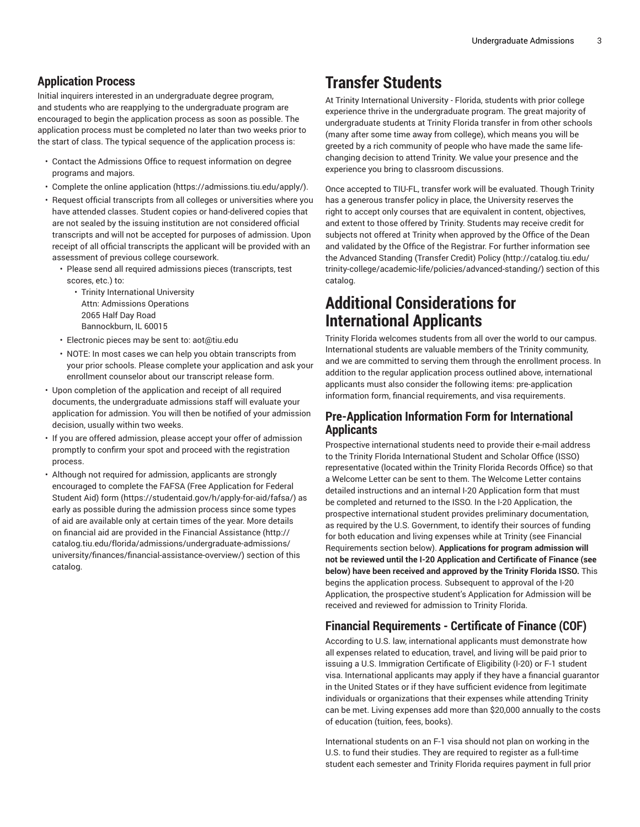## **Application Process**

Initial inquirers interested in an undergraduate degree program, and students who are reapplying to the undergraduate program are encouraged to begin the application process as soon as possible. The application process must be completed no later than two weeks prior to the start of class. The typical sequence of the application process is:

- Contact the Admissions Office to request information on degree programs and majors.
- Complete the [online application \(https://admissions.tiu.edu/apply/](https://admissions.tiu.edu/apply/)).
- Request official transcripts from all colleges or universities where you have attended classes. Student copies or hand-delivered copies that are not sealed by the issuing institution are not considered official transcripts and will not be accepted for purposes of admission. Upon receipt of all official transcripts the applicant will be provided with an assessment of previous college coursework.
	- Please send all required admissions pieces (transcripts, test scores, etc.) to:
		- Trinity International University Attn: Admissions Operations 2065 Half Day Road Bannockburn, IL 60015
	- Electronic pieces may be sent to: aot@tiu.edu
	- NOTE: In most cases we can help you obtain transcripts from your prior schools. Please complete your application and ask your enrollment counselor about our transcript release form.
- Upon completion of the application and receipt of all required documents, the undergraduate admissions staff will evaluate your application for admission. You will then be notified of your admission decision, usually within two weeks.
- If you are offered admission, please accept your offer of admission promptly to confirm your spot and proceed with the registration process.
- Although not required for admission, applicants are strongly encouraged to complete the FAFSA (Free [Application](https://studentaid.gov/h/apply-for-aid/fafsa/) for Federal [Student Aid\) form \(https://studentaid.gov/h/apply-for-aid/fafsa/\)](https://studentaid.gov/h/apply-for-aid/fafsa/) as early as possible during the admission process since some types of aid are available only at certain times of the year. More details on financial aid are provided in the [Financial Assistance \(http://](http://catalog.tiu.edu/florida/admissions/undergraduate-admissions/university/finances/financial-assistance-overview/) [catalog.tiu.edu/florida/admissions/undergraduate-admissions/](http://catalog.tiu.edu/florida/admissions/undergraduate-admissions/university/finances/financial-assistance-overview/) [university/finances/financial-assistance-overview/](http://catalog.tiu.edu/florida/admissions/undergraduate-admissions/university/finances/financial-assistance-overview/)) section of this catalog.

## **Transfer Students**

At Trinity International University - Florida, students with prior college experience thrive in the undergraduate program. The great majority of undergraduate students at Trinity Florida transfer in from other schools (many after some time away from college), which means you will be greeted by a rich community of people who have made the same lifechanging decision to attend Trinity. We value your presence and the experience you bring to classroom discussions.

Once accepted to TIU-FL, transfer work will be evaluated. Though Trinity has a generous transfer policy in place, the University reserves the right to accept only courses that are equivalent in content, objectives, and extent to those offered by Trinity. Students may receive credit for subjects not offered at Trinity when approved by the Office of the Dean and validated by the Office of the Registrar. For further information see the [Advanced](http://catalog.tiu.edu/trinity-college/academic-life/policies/advanced-standing/) Standing (Transfer Credit) Policy ([http://catalog.tiu.edu/](http://catalog.tiu.edu/trinity-college/academic-life/policies/advanced-standing/) [trinity-college/academic-life/policies/advanced-standing/\)](http://catalog.tiu.edu/trinity-college/academic-life/policies/advanced-standing/) section of this catalog.

## **Additional Considerations for International Applicants**

Trinity Florida welcomes students from all over the world to our campus. International students are valuable members of the Trinity community, and we are committed to serving them through the enrollment process. In addition to the regular application process outlined above, international applicants must also consider the following items: pre-application information form, financial requirements, and visa requirements.

### **Pre-Application Information Form for International Applicants**

Prospective international students need to provide their e-mail address to the Trinity Florida International Student and Scholar Office (ISSO) representative (located within the Trinity Florida Records Office) so that a Welcome Letter can be sent to them. The Welcome Letter contains detailed instructions and an internal I-20 Application form that must be completed and returned to the ISSO. In the I-20 Application, the prospective international student provides preliminary documentation, as required by the U.S. Government, to identify their sources of funding for both education and living expenses while at Trinity (see Financial Requirements section below). **Applications for program admission will not be reviewed until the I-20 Application and Certificate of Finance (see below) have been received and approved by the Trinity Florida ISSO.** This begins the application process. Subsequent to approval of the I-20 Application, the prospective student's Application for Admission will be received and reviewed for admission to Trinity Florida.

## **Financial Requirements - Certificate of Finance (COF)**

According to U.S. law, international applicants must demonstrate how all expenses related to education, travel, and living will be paid prior to issuing a U.S. Immigration Certificate of Eligibility (I-20) or F-1 student visa. International applicants may apply if they have a financial guarantor in the United States or if they have sufficient evidence from legitimate individuals or organizations that their expenses while attending Trinity can be met. Living expenses add more than \$20,000 annually to the costs of education (tuition, fees, books).

International students on an F-1 visa should not plan on working in the U.S. to fund their studies. They are required to register as a full-time student each semester and Trinity Florida requires payment in full prior